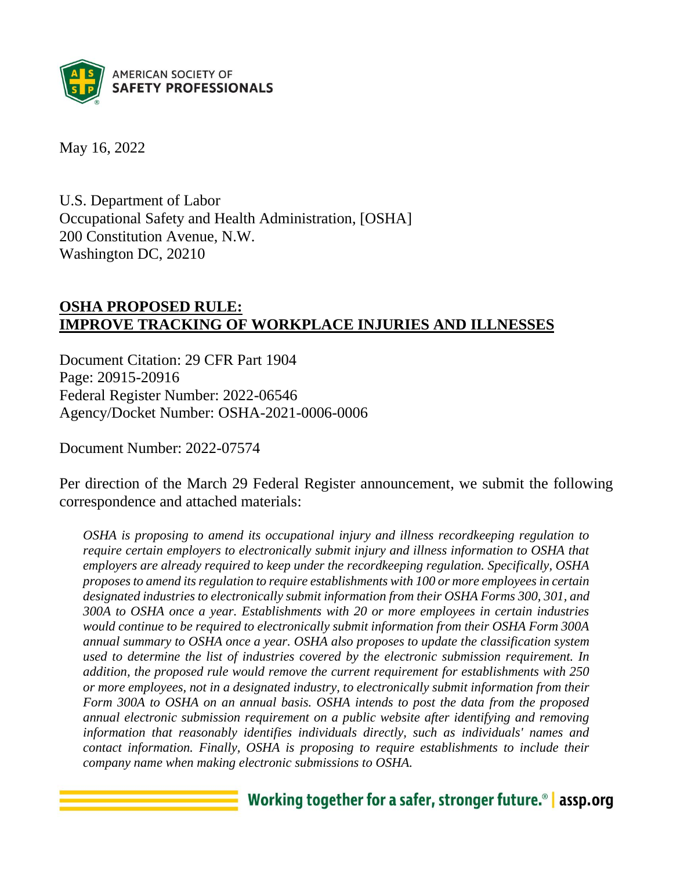

May 16, 2022

U.S. Department of Labor Occupational Safety and Health Administration, [OSHA] 200 Constitution Avenue, N.W. Washington DC, 20210

## **OSHA PROPOSED RULE: IMPROVE TRACKING OF WORKPLACE INJURIES AND ILLNESSES**

Document Citation: 29 CFR Part 1904 Page: 20915-20916 Federal Register Number: 2022-06546 Agency/Docket Number: OSHA-2021-0006-0006

Document Number: 2022-07574

Per direction of the March 29 Federal Register announcement, we submit the following correspondence and attached materials:

*OSHA is proposing to amend its occupational injury and illness recordkeeping regulation to require certain employers to electronically submit injury and illness information to OSHA that employers are already required to keep under the recordkeeping regulation. Specifically, OSHA proposes to amend its regulation to require establishments with 100 or more employees in certain designated industries to electronically submit information from their OSHA Forms 300, 301, and 300A to OSHA once a year. Establishments with 20 or more employees in certain industries would continue to be required to electronically submit information from their OSHA Form 300A annual summary to OSHA once a year. OSHA also proposes to update the classification system used to determine the list of industries covered by the electronic submission requirement. In addition, the proposed rule would remove the current requirement for establishments with 250 or more employees, not in a designated industry, to electronically submit information from their Form 300A to OSHA on an annual basis. OSHA intends to post the data from the proposed annual electronic submission requirement on a public website after identifying and removing information that reasonably identifies individuals directly, such as individuals' names and contact information. Finally, OSHA is proposing to require establishments to include their company name when making electronic submissions to OSHA.*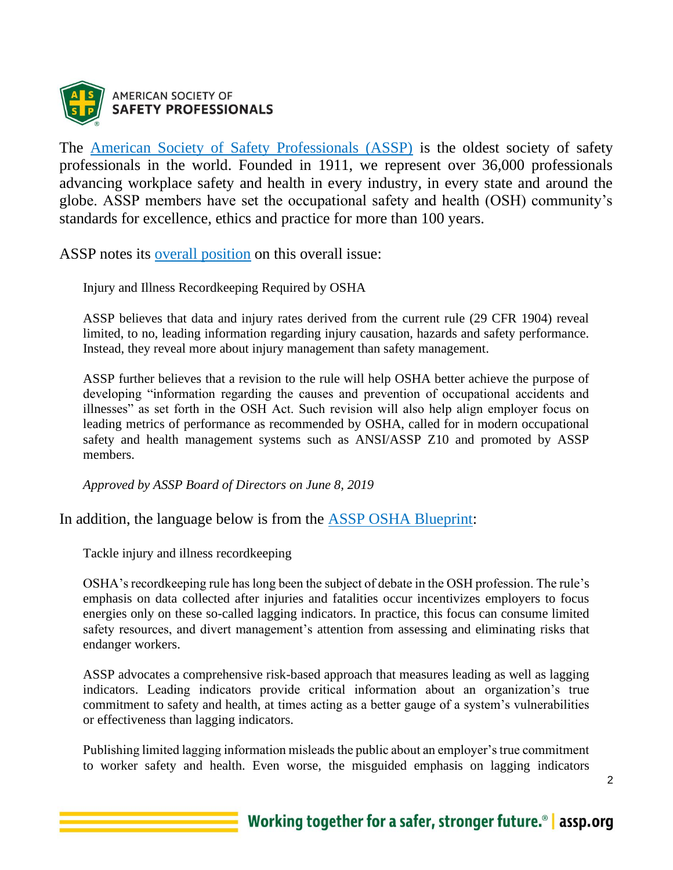

The [American Society of Safety Professionals \(ASSP\)](http://www.assp.org/) is the oldest society of safety professionals in the world. Founded in 1911, we represent over 36,000 professionals advancing workplace safety and health in every industry, in every state and around the globe. ASSP members have set the occupational safety and health (OSH) community's standards for excellence, ethics and practice for more than 100 years.

ASSP notes its [overall position](https://www.assp.org/position-statements) on this overall issue:

Injury and Illness Recordkeeping Required by OSHA

ASSP believes that data and injury rates derived from the current rule (29 CFR 1904) reveal limited, to no, leading information regarding injury causation, hazards and safety performance. Instead, they reveal more about injury management than safety management.

ASSP further believes that a revision to the rule will help OSHA better achieve the purpose of developing "information regarding the causes and prevention of occupational accidents and illnesses" as set forth in the OSH Act. Such revision will also help align employer focus on leading metrics of performance as recommended by OSHA, called for in modern occupational safety and health management systems such as ANSI/ASSP Z10 and promoted by ASSP members.

*Approved by ASSP Board of Directors on June 8, 2019*

In addition, the language below is from the [ASSP OSHA Blueprint:](https://www.assp.org/docs/default-source/default-document-library/osha-blueprint_spring-2021.pdf?sfvrsn=1b0b8547_2)

Tackle injury and illness recordkeeping

OSHA's recordkeeping rule has long been the subject of debate in the OSH profession. The rule's emphasis on data collected after injuries and fatalities occur incentivizes employers to focus energies only on these so-called lagging indicators. In practice, this focus can consume limited safety resources, and divert management's attention from assessing and eliminating risks that endanger workers.

ASSP advocates a comprehensive risk-based approach that measures leading as well as lagging indicators. Leading indicators provide critical information about an organization's true commitment to safety and health, at times acting as a better gauge of a system's vulnerabilities or effectiveness than lagging indicators.

Publishing limited lagging information misleads the public about an employer's true commitment to worker safety and health. Even worse, the misguided emphasis on lagging indicators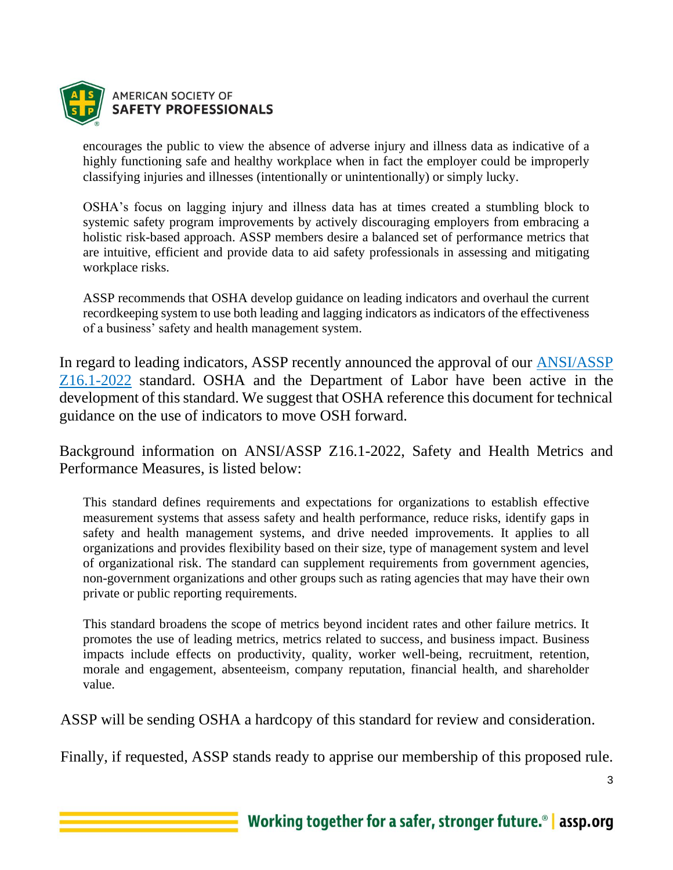

encourages the public to view the absence of adverse injury and illness data as indicative of a highly functioning safe and healthy workplace when in fact the employer could be improperly classifying injuries and illnesses (intentionally or unintentionally) or simply lucky.

OSHA's focus on lagging injury and illness data has at times created a stumbling block to systemic safety program improvements by actively discouraging employers from embracing a holistic risk-based approach. ASSP members desire a balanced set of performance metrics that are intuitive, efficient and provide data to aid safety professionals in assessing and mitigating workplace risks.

ASSP recommends that OSHA develop guidance on leading indicators and overhaul the current recordkeeping system to use both leading and lagging indicators as indicators of the effectiveness of a business' safety and health management system.

In regard to leading indicators, ASSP recently announced the approval of our [ANSI/ASSP](https://store.assp.org/PersonifyEbusiness/Store/Product-Details/productId/234233293?_ga=2.25878013.1157030628.1651239053-569325220.1651193174)  [Z16.1-2022](https://store.assp.org/PersonifyEbusiness/Store/Product-Details/productId/234233293?_ga=2.25878013.1157030628.1651239053-569325220.1651193174) standard. OSHA and the Department of Labor have been active in the development of this standard. We suggest that OSHA reference this document for technical guidance on the use of indicators to move OSH forward.

Background information on ANSI/ASSP Z16.1-2022, Safety and Health Metrics and Performance Measures, is listed below:

This standard defines requirements and expectations for organizations to establish effective measurement systems that assess safety and health performance, reduce risks, identify gaps in safety and health management systems, and drive needed improvements. It applies to all organizations and provides flexibility based on their size, type of management system and level of organizational risk. The standard can supplement requirements from government agencies, non-government organizations and other groups such as rating agencies that may have their own private or public reporting requirements.

This standard broadens the scope of metrics beyond incident rates and other failure metrics. It promotes the use of leading metrics, metrics related to success, and business impact. Business impacts include effects on productivity, quality, worker well-being, recruitment, retention, morale and engagement, absenteeism, company reputation, financial health, and shareholder value.

ASSP will be sending OSHA a hardcopy of this standard for review and consideration.

Finally, if requested, ASSP stands ready to apprise our membership of this proposed rule.